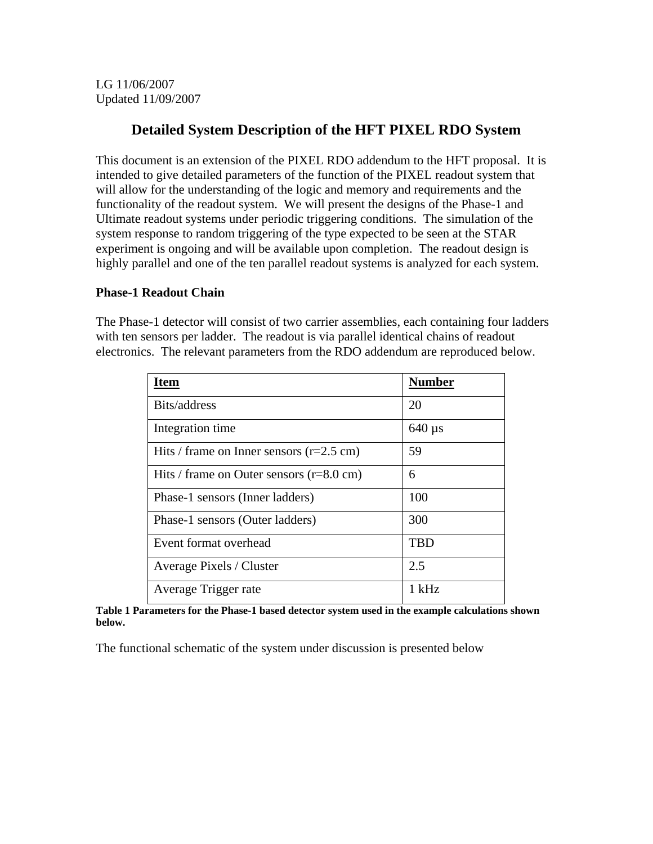LG 11/06/2007 Updated 11/09/2007

## **Detailed System Description of the HFT PIXEL RDO System**

This document is an extension of the PIXEL RDO addendum to the HFT proposal. It is intended to give detailed parameters of the function of the PIXEL readout system that will allow for the understanding of the logic and memory and requirements and the functionality of the readout system. We will present the designs of the Phase-1 and Ultimate readout systems under periodic triggering conditions. The simulation of the system response to random triggering of the type expected to be seen at the STAR experiment is ongoing and will be available upon completion. The readout design is highly parallel and one of the ten parallel readout systems is analyzed for each system.

## **Phase-1 Readout Chain**

The Phase-1 detector will consist of two carrier assemblies, each containing four ladders with ten sensors per ladder. The readout is via parallel identical chains of readout electronics. The relevant parameters from the RDO addendum are reproduced below.

| <b>Item</b>                                        | <b>Number</b> |
|----------------------------------------------------|---------------|
| Bits/address                                       | 20            |
| Integration time                                   | $640 \,\mu s$ |
| Hits / frame on Inner sensors $(r=2.5$ cm)         | 59            |
| Hits / frame on Outer sensors $(r=8.0 \text{ cm})$ | 6             |
| Phase-1 sensors (Inner ladders)                    | 100           |
| Phase-1 sensors (Outer ladders)                    | 300           |
| Event format overhead                              | <b>TBD</b>    |
| <b>Average Pixels / Cluster</b>                    | 2.5           |
| Average Trigger rate                               | 1 kHz         |

**Table 1 Parameters for the Phase-1 based detector system used in the example calculations shown below.** 

The functional schematic of the system under discussion is presented below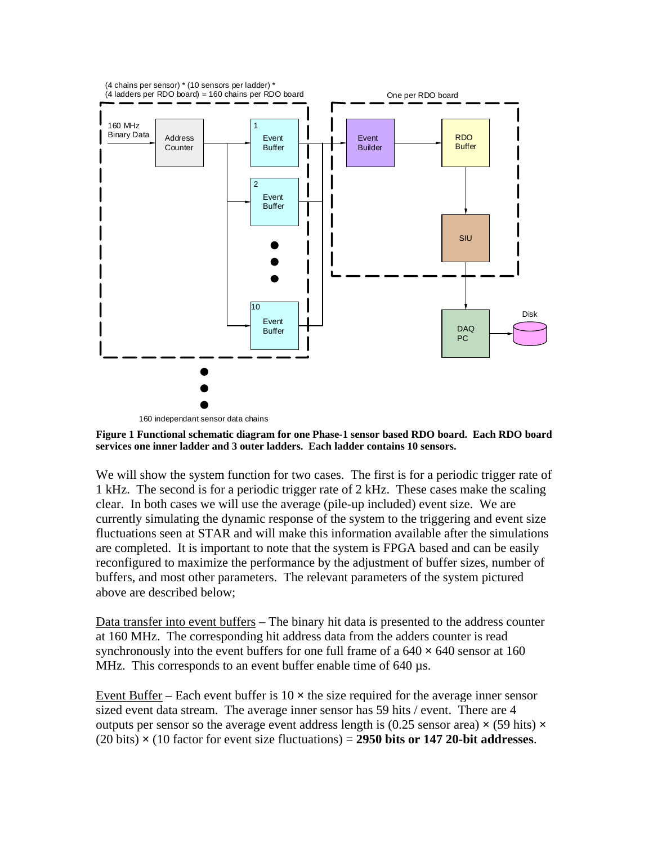

**Figure 1 Functional schematic diagram for one Phase-1 sensor based RDO board. Each RDO board services one inner ladder and 3 outer ladders. Each ladder contains 10 sensors.** 

We will show the system function for two cases. The first is for a periodic trigger rate of 1 kHz. The second is for a periodic trigger rate of 2 kHz. These cases make the scaling clear. In both cases we will use the average (pile-up included) event size. We are currently simulating the dynamic response of the system to the triggering and event size fluctuations seen at STAR and will make this information available after the simulations are completed. It is important to note that the system is FPGA based and can be easily reconfigured to maximize the performance by the adjustment of buffer sizes, number of buffers, and most other parameters. The relevant parameters of the system pictured above are described below;

Data transfer into event buffers – The binary hit data is presented to the address counter at 160 MHz. The corresponding hit address data from the adders counter is read synchronously into the event buffers for one full frame of a 640 **×** 640 sensor at 160 MHz. This corresponds to an event buffer enable time of 640 µs.

Event Buffer – Each event buffer is  $10 \times$  the size required for the average inner sensor sized event data stream. The average inner sensor has 59 hits / event. There are 4 outputs per sensor so the average event address length is (0.25 sensor area)  $\times$  (59 hits)  $\times$ (20 bits) **×** (10 factor for event size fluctuations) = **2950 bits or 147 20-bit addresses**.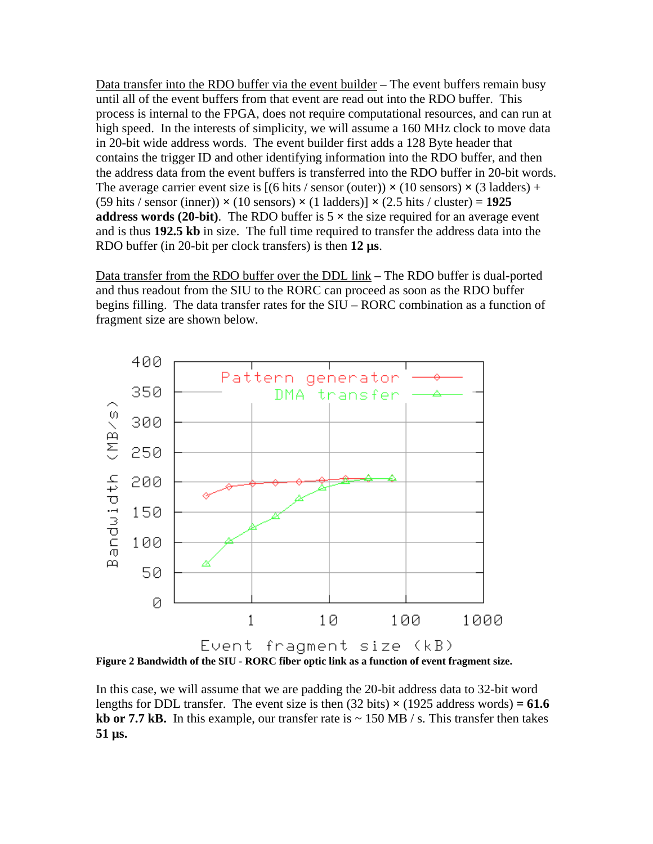Data transfer into the RDO buffer via the event builder – The event buffers remain busy until all of the event buffers from that event are read out into the RDO buffer. This process is internal to the FPGA, does not require computational resources, and can run at high speed. In the interests of simplicity, we will assume a 160 MHz clock to move data in 20-bit wide address words. The event builder first adds a 128 Byte header that contains the trigger ID and other identifying information into the RDO buffer, and then the address data from the event buffers is transferred into the RDO buffer in 20-bit words. The average carrier event size is  $[(6 \text{ hits } / \text{ sensor (outer)}) \times (10 \text{ sensors}) \times (3 \text{ laddress}) +$ (59 hits / sensor (inner)) **×** (10 sensors) **×** (1 ladders)] **×** (2.5 hits / cluster) = **1925 address words (20-bit).** The RDO buffer is  $5 \times$  the size required for an average event and is thus **192.5 kb** in size. The full time required to transfer the address data into the RDO buffer (in 20-bit per clock transfers) is then **12 µs**.

Data transfer from the RDO buffer over the DDL link – The RDO buffer is dual-ported and thus readout from the SIU to the RORC can proceed as soon as the RDO buffer begins filling. The data transfer rates for the SIU – RORC combination as a function of fragment size are shown below.



**Figure 2 Bandwidth of the SIU - RORC fiber optic link as a function of event fragment size.** 

In this case, we will assume that we are padding the 20-bit address data to 32-bit word lengths for DDL transfer. The event size is then  $(32 \text{ bits}) \times (1925 \text{ address words}) = 61.6$ **kb or 7.7 kB.** In this example, our transfer rate is  $\sim 150 \text{ MB} / \text{s}$ . This transfer then takes **51 µs.**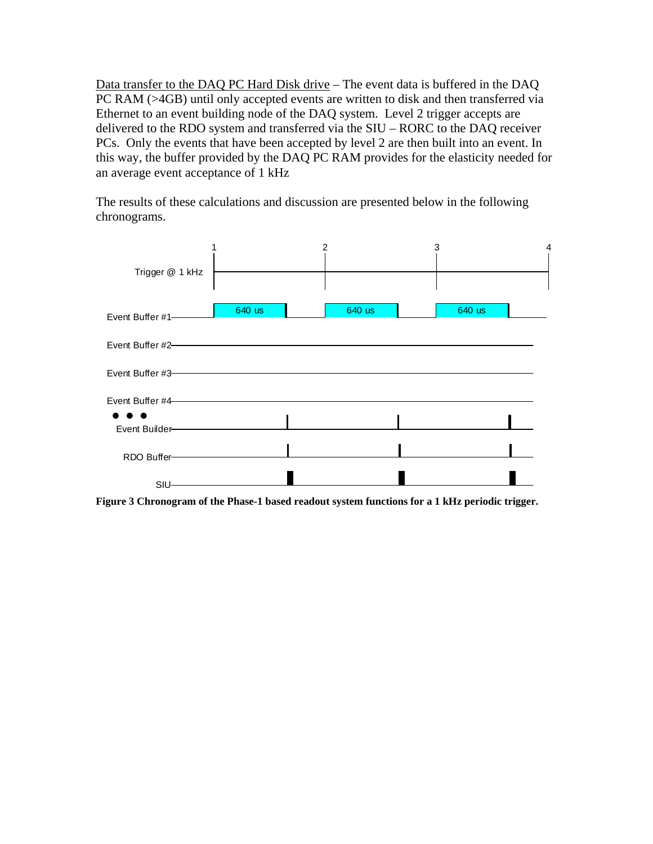Data transfer to the DAQ PC Hard Disk drive – The event data is buffered in the DAQ PC RAM (>4GB) until only accepted events are written to disk and then transferred via Ethernet to an event building node of the DAQ system. Level 2 trigger accepts are delivered to the RDO system and transferred via the SIU – RORC to the DAQ receiver PCs. Only the events that have been accepted by level 2 are then built into an event. In this way, the buffer provided by the DAQ PC RAM provides for the elasticity needed for an average event acceptance of 1 kHz

The results of these calculations and discussion are presented below in the following chronograms.



**Figure 3 Chronogram of the Phase-1 based readout system functions for a 1 kHz periodic trigger.**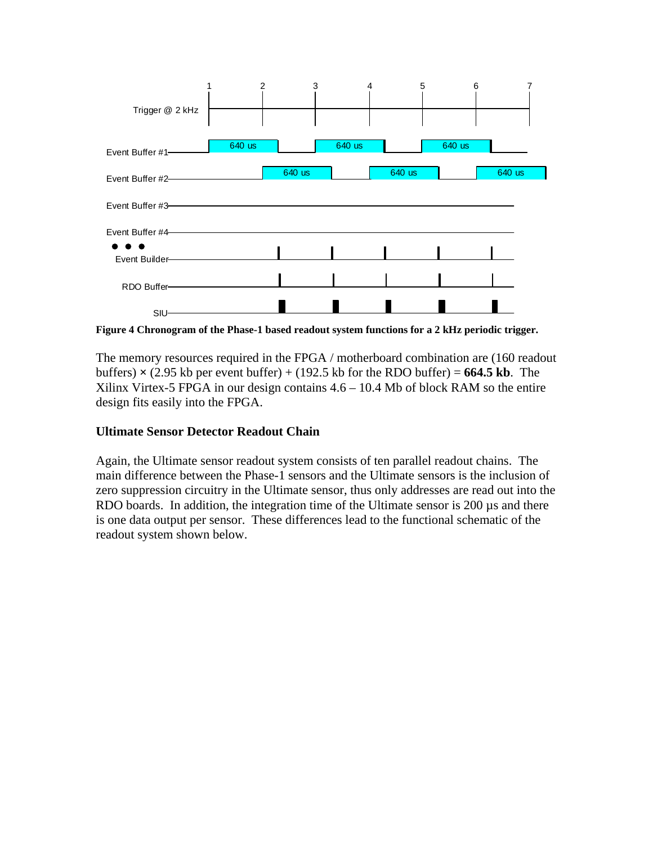

**Figure 4 Chronogram of the Phase-1 based readout system functions for a 2 kHz periodic trigger.** 

The memory resources required in the FPGA / motherboard combination are (160 readout buffers)  $\times$  (2.95 kb per event buffer) + (192.5 kb for the RDO buffer) = **664.5 kb**. The Xilinx Virtex-5 FPGA in our design contains 4.6 – 10.4 Mb of block RAM so the entire design fits easily into the FPGA.

## **Ultimate Sensor Detector Readout Chain**

Again, the Ultimate sensor readout system consists of ten parallel readout chains. The main difference between the Phase-1 sensors and the Ultimate sensors is the inclusion of zero suppression circuitry in the Ultimate sensor, thus only addresses are read out into the RDO boards. In addition, the integration time of the Ultimate sensor is 200  $\mu$ s and there is one data output per sensor. These differences lead to the functional schematic of the readout system shown below.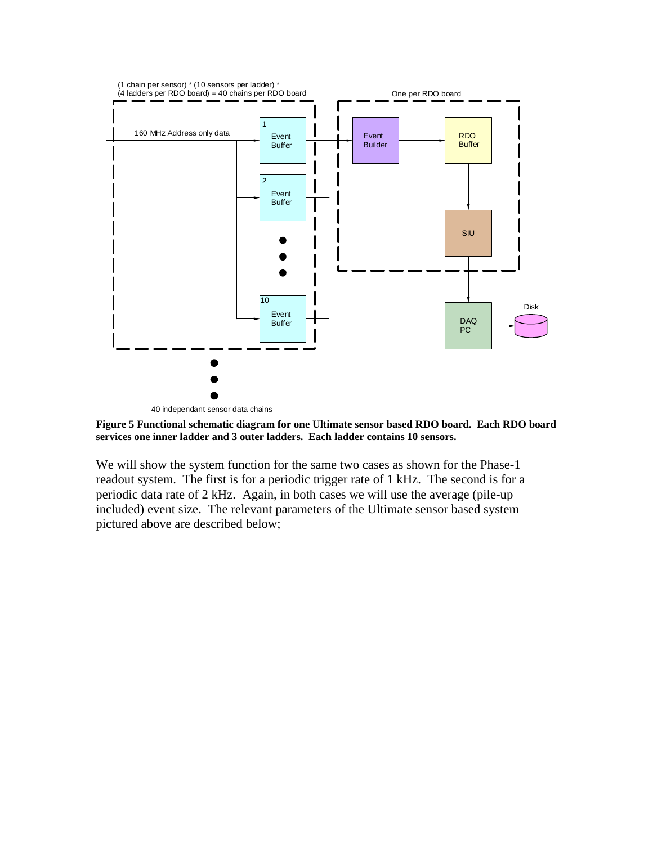

40 independant sensor data chains

**Figure 5 Functional schematic diagram for one Ultimate sensor based RDO board. Each RDO board services one inner ladder and 3 outer ladders. Each ladder contains 10 sensors.** 

We will show the system function for the same two cases as shown for the Phase-1 readout system. The first is for a periodic trigger rate of 1 kHz. The second is for a periodic data rate of 2 kHz. Again, in both cases we will use the average (pile-up included) event size. The relevant parameters of the Ultimate sensor based system pictured above are described below;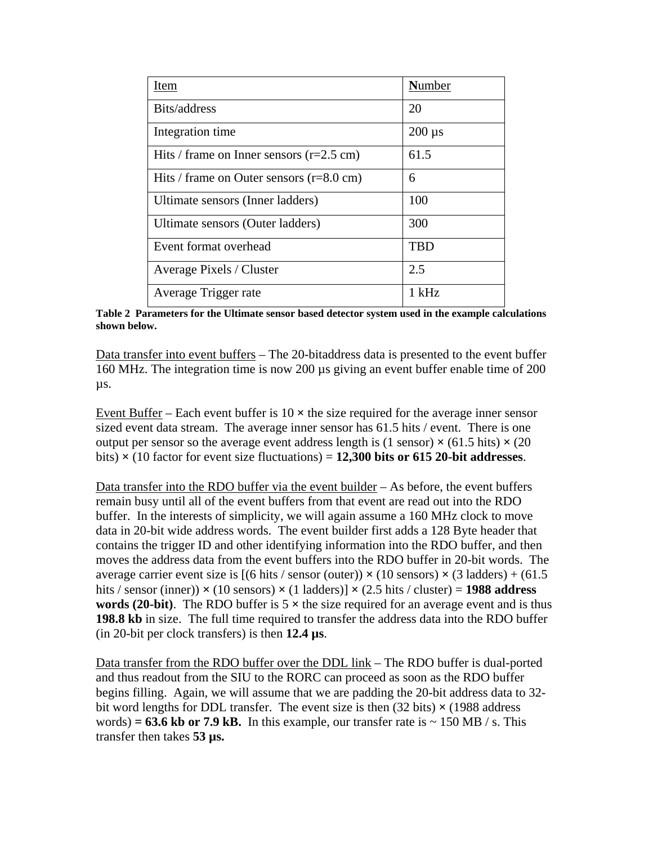| Item                                               | <b>Number</b> |
|----------------------------------------------------|---------------|
| Bits/address                                       | 20            |
| Integration time                                   | $200 \mu s$   |
| Hits / frame on Inner sensors $(r=2.5$ cm)         | 61.5          |
| Hits / frame on Outer sensors $(r=8.0 \text{ cm})$ | 6             |
| Ultimate sensors (Inner ladders)                   | 100           |
| Ultimate sensors (Outer ladders)                   | 300           |
| Event format overhead                              | <b>TBD</b>    |
| <b>Average Pixels / Cluster</b>                    | 2.5           |
| Average Trigger rate                               | $1$ kHz       |

**Table 2 Parameters for the Ultimate sensor based detector system used in the example calculations shown below.** 

Data transfer into event buffers – The 20-bitaddress data is presented to the event buffer 160 MHz. The integration time is now 200 µs giving an event buffer enable time of 200 µs.

Event Buffer – Each event buffer is  $10 \times$  the size required for the average inner sensor sized event data stream. The average inner sensor has 61.5 hits / event. There is one output per sensor so the average event address length is (1 sensor)  $\times$  (61.5 hits)  $\times$  (20 bits)  $\times$  (10 factor for event size fluctuations) = **12,300 bits or 615 20-bit addresses**.

Data transfer into the RDO buffer via the event builder  $-$  As before, the event buffers remain busy until all of the event buffers from that event are read out into the RDO buffer. In the interests of simplicity, we will again assume a 160 MHz clock to move data in 20-bit wide address words. The event builder first adds a 128 Byte header that contains the trigger ID and other identifying information into the RDO buffer, and then moves the address data from the event buffers into the RDO buffer in 20-bit words. The average carrier event size is  $[(6 \text{ hits } / \text{ sensor (outer)}) \times (10 \text{ sensors}) \times (3 \text{ ladder}) + (61.5 \text{ years})$ hits / sensor (inner))  $\times$  (10 sensors)  $\times$  (1 ladders)]  $\times$  (2.5 hits / cluster) = **1988 address words (20-bit).** The RDO buffer is  $5 \times$  the size required for an average event and is thus **198.8 kb** in size. The full time required to transfer the address data into the RDO buffer (in 20-bit per clock transfers) is then **12.4 µs**.

Data transfer from the RDO buffer over the DDL link – The RDO buffer is dual-ported and thus readout from the SIU to the RORC can proceed as soon as the RDO buffer begins filling. Again, we will assume that we are padding the 20-bit address data to 32 bit word lengths for DDL transfer. The event size is then (32 bits) **×** (1988 address words) =  $63.6$  kb or 7.9 kB. In this example, our transfer rate is  $\sim 150$  MB / s. This transfer then takes **53 µs.**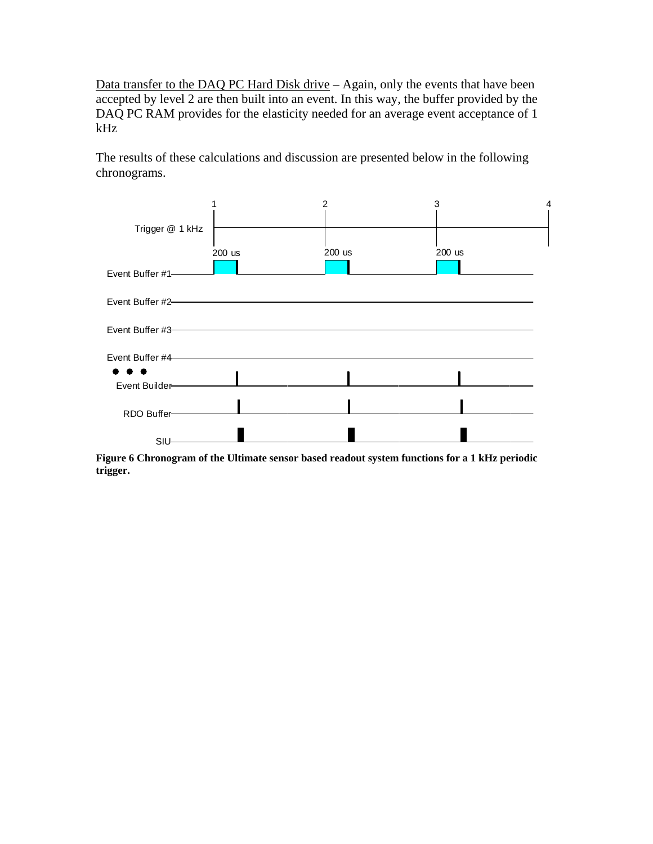Data transfer to the DAQ PC Hard Disk drive - Again, only the events that have been accepted by level 2 are then built into an event. In this way, the buffer provided by the DAQ PC RAM provides for the elasticity needed for an average event acceptance of 1 kHz

The results of these calculations and discussion are presented below in the following chronograms.



**Figure 6 Chronogram of the Ultimate sensor based readout system functions for a 1 kHz periodic trigger.**